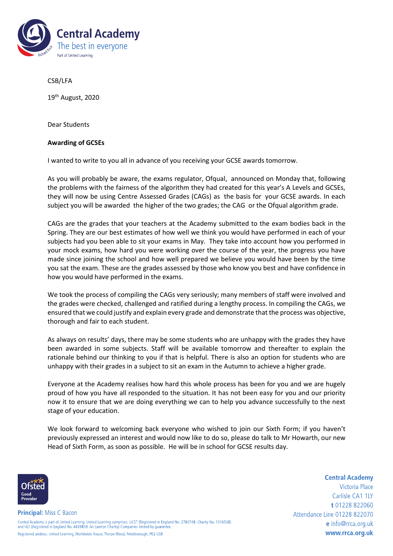

CSB/LFA

19th August, 2020

Dear Students

## **Awarding of GCSEs**

I wanted to write to you all in advance of you receiving your GCSE awards tomorrow.

As you will probably be aware, the exams regulator, Ofqual, announced on Monday that, following the problems with the fairness of the algorithm they had created for this year's A Levels and GCSEs, they will now be using Centre Assessed Grades (CAGs) as the basis for your GCSE awards. In each subject you will be awarded the higher of the two grades; the CAG or the Ofqual algorithm grade.

CAGs are the grades that your teachers at the Academy submitted to the exam bodies back in the Spring. They are our best estimates of how well we think you would have performed in each of your subjects had you been able to sit your exams in May. They take into account how you performed in your mock exams, how hard you were working over the course of the year, the progress you have made since joining the school and how well prepared we believe you would have been by the time you sat the exam. These are the grades assessed by those who know you best and have confidence in how you would have performed in the exams.

We took the process of compiling the CAGs very seriously; many members of staff were involved and the grades were checked, challenged and ratified during a lengthy process. In compiling the CAGs, we ensured that we could justify and explain every grade and demonstrate that the process was objective, thorough and fair to each student.

As always on results' days, there may be some students who are unhappy with the grades they have been awarded in some subjects. Staff will be available tomorrow and thereafter to explain the rationale behind our thinking to you if that is helpful. There is also an option for students who are unhappy with their grades in a subject to sit an exam in the Autumn to achieve a higher grade.

Everyone at the Academy realises how hard this whole process has been for you and we are hugely proud of how you have all responded to the situation. It has not been easy for you and our priority now it to ensure that we are doing everything we can to help you advance successfully to the next stage of your education.

We look forward to welcoming back everyone who wished to join our Sixth Form; if you haven't previously expressed an interest and would now like to do so, please do talk to Mr Howarth, our new Head of Sixth Form, as soon as possible. He will be in school for GCSE results day.



Victoria Place Carlisle CA1 1LY t 01228 822060 Attendance Line 01228 822070 e info@rrca.org.uk www.rrca.org.uk